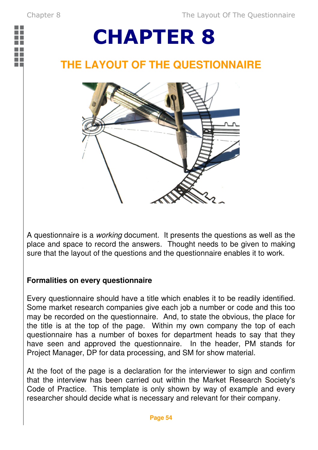

# CHAPTER 8

## **THE LAYOUT OF THE QUESTIONNAIRE**



A questionnaire is a working document. It presents the questions as well as the place and space to record the answers. Thought needs to be given to making sure that the layout of the questions and the questionnaire enables it to work.

#### **Formalities on every questionnaire**

Every questionnaire should have a title which enables it to be readily identified. Some market research companies give each job a number or code and this too may be recorded on the questionnaire. And, to state the obvious, the place for the title is at the top of the page. Within my own company the top of each questionnaire has a number of boxes for department heads to say that they have seen and approved the questionnaire. In the header, PM stands for Project Manager, DP for data processing, and SM for show material.

At the foot of the page is a declaration for the interviewer to sign and confirm that the interview has been carried out within the Market Research Society's Code of Practice. This template is only shown by way of example and every researcher should decide what is necessary and relevant for their company.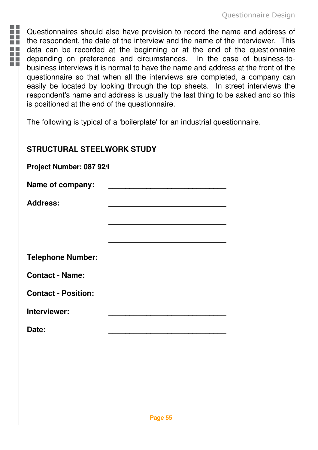٦F. - 11 - 11 TF a ka a ka n i

Questionnaires should also have provision to record the name and address of the respondent, the date of the interview and the name of the interviewer. This data can be recorded at the beginning or at the end of the questionnaire depending on preference and circumstances. In the case of business-tobusiness interviews it is normal to have the name and address at the front of the questionnaire so that when all the interviews are completed, a company can easily be located by looking through the top sheets. In street interviews the respondent's name and address is usually the last thing to be asked and so this is positioned at the end of the questionnaire.

The following is typical of a 'boilerplate' for an industrial questionnaire.

#### **STRUCTURAL STEELWORK STUDY**

| Project Number: 087 92/l   |  |
|----------------------------|--|
| Name of company:           |  |
| <b>Address:</b>            |  |
|                            |  |
|                            |  |
| <b>Telephone Number:</b>   |  |
| <b>Contact - Name:</b>     |  |
| <b>Contact - Position:</b> |  |
| Interviewer:               |  |
| Date:                      |  |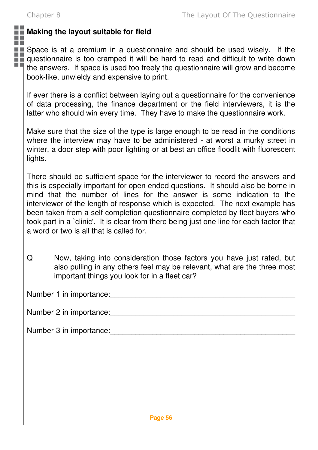a ka m in

n m

#### **Making the layout suitable for field**

 $\blacksquare$  Space is at a premium in a questionnaire and should be used wisely. If the **T** questionnaire is too cramped it will be hard to read and difficult to write down the answers. If space is used too freely the questionnaire will grow and become book-like, unwieldy and expensive to print.

If ever there is a conflict between laying out a questionnaire for the convenience of data processing, the finance department or the field interviewers, it is the latter who should win every time. They have to make the questionnaire work.

Make sure that the size of the type is large enough to be read in the conditions where the interview may have to be administered - at worst a murky street in winter, a door step with poor lighting or at best an office floodlit with fluorescent lights.

There should be sufficient space for the interviewer to record the answers and this is especially important for open ended questions. It should also be borne in mind that the number of lines for the answer is some indication to the interviewer of the length of response which is expected. The next example has been taken from a self completion questionnaire completed by fleet buyers who took part in a `clinic'. It is clear from there being just one line for each factor that a word or two is all that is called for.

Q Now, taking into consideration those factors you have just rated, but also pulling in any others feel may be relevant, what are the three most important things you look for in a fleet car?

Number 1 in importance:  $\blacksquare$ 

Number 2 in importance:

Number 3 in importance:  $\blacksquare$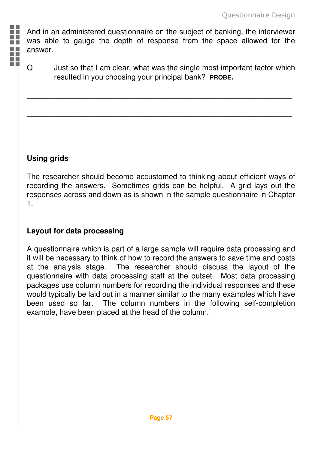And in an administered questionnaire on the subject of banking, the interviewer was able to gauge the depth of response from the space allowed for the answer.

Q Just so that I am clear, what was the single most important factor which resulted in you choosing your principal bank? **PROBE.**

\_\_\_\_\_\_\_\_\_\_\_\_\_\_\_\_\_\_\_\_\_\_\_\_\_\_\_\_\_\_\_\_\_\_\_\_\_\_\_\_\_\_\_\_\_\_\_\_\_\_\_\_\_\_\_\_\_\_\_\_\_\_\_

\_\_\_\_\_\_\_\_\_\_\_\_\_\_\_\_\_\_\_\_\_\_\_\_\_\_\_\_\_\_\_\_\_\_\_\_\_\_\_\_\_\_\_\_\_\_\_\_\_\_\_\_\_\_\_\_\_\_\_\_\_\_\_

\_\_\_\_\_\_\_\_\_\_\_\_\_\_\_\_\_\_\_\_\_\_\_\_\_\_\_\_\_\_\_\_\_\_\_\_\_\_\_\_\_\_\_\_\_\_\_\_\_\_\_\_\_\_\_\_\_\_\_\_\_\_\_

### **Using grids**

m I n m n e

٠ n e

> The researcher should become accustomed to thinking about efficient ways of recording the answers. Sometimes grids can be helpful. A grid lays out the responses across and down as is shown in the sample questionnaire in Chapter 1.

#### **Layout for data processing**

A questionnaire which is part of a large sample will require data processing and it will be necessary to think of how to record the answers to save time and costs at the analysis stage. The researcher should discuss the layout of the questionnaire with data processing staff at the outset. Most data processing packages use column numbers for recording the individual responses and these would typically be laid out in a manner similar to the many examples which have been used so far. The column numbers in the following self-completion example, have been placed at the head of the column.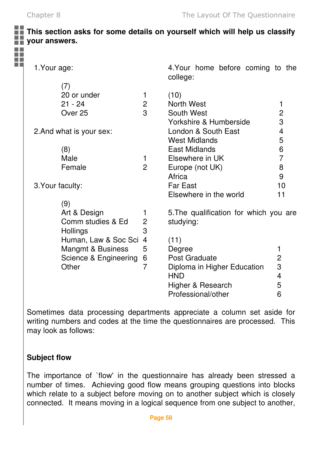

**This section asks for some details on yourself which will help us classify We vour answers.** 

| 1. Your age:             |   | 4. Your home before coming to the<br>college: |    |
|--------------------------|---|-----------------------------------------------|----|
| (7)                      |   |                                               |    |
| 20 or under              | 1 | (10)                                          |    |
| $21 - 24$                | 2 | North West                                    | 1  |
| Over 25                  | 3 | South West                                    | 2  |
|                          |   | Yorkshire & Humberside                        | 3  |
| 2. And what is your sex: |   | London & South East                           | 4  |
|                          |   | <b>West Midlands</b>                          | 5  |
| (8)                      |   | East Midlands                                 | 6  |
| Male                     | 1 | Elsewhere in UK                               | 7  |
| Female                   | 2 | Europe (not UK)                               | 8  |
|                          |   | Africa                                        | 9  |
| 3. Your faculty:         |   | Far East                                      | 10 |
|                          |   | Elsewhere in the world                        | 11 |
| (9)                      |   |                                               |    |
| Art & Design             | 1 | 5. The qualification for which you are        |    |
| Comm studies & Ed        | 2 | studying:                                     |    |
| Hollings                 | 3 |                                               |    |
| Human, Law & Soc Sci     | 4 | (11)                                          |    |
| Mangmt & Business        | 5 | Degree                                        | 1  |
| Science & Engineering    | 6 | Post Graduate                                 | 2  |
| Other                    | 7 | Diploma in Higher Education                   | 3  |
|                          |   | <b>HND</b>                                    | 4  |
|                          |   | Higher & Research                             | 5  |
|                          |   | Professional/other                            | 6  |

Sometimes data processing departments appreciate a column set aside for writing numbers and codes at the time the questionnaires are processed. This may look as follows:

#### **Subject flow**

The importance of `flow' in the questionnaire has already been stressed a number of times. Achieving good flow means grouping questions into blocks which relate to a subject before moving on to another subject which is closely connected. It means moving in a logical sequence from one subject to another,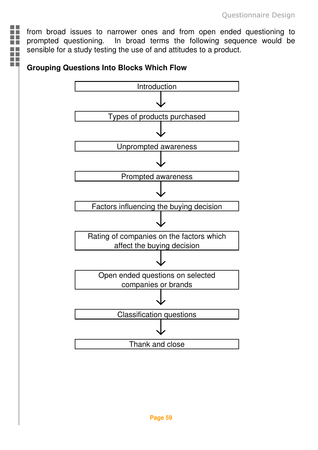from broad issues to narrower ones and from open ended questioning to prompted questioning. In broad terms the following sequence would be sensible for a study testing the use of and attitudes to a product.

#### **Grouping Questions Into Blocks Which Flow**

n m m i

n i ΠT

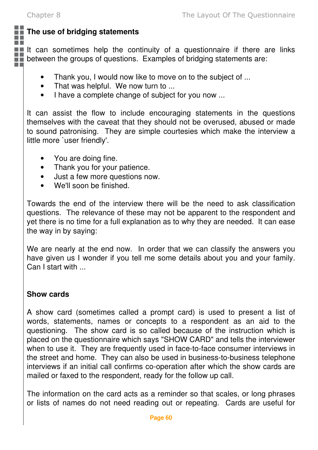a m

#### **The use of bridging statements** a ka

 $\blacksquare$  It can sometimes help the continuity of a questionnaire if there are links **T** between the groups of questions. Examples of bridging statements are:

- Thank you, I would now like to move on to the subject of ...
- That was helpful. We now turn to ...
- I have a complete change of subject for you now ...

It can assist the flow to include encouraging statements in the questions themselves with the caveat that they should not be overused, abused or made to sound patronising. They are simple courtesies which make the interview a little more `user friendly'.

- You are doing fine.
- Thank you for your patience.
- Just a few more questions now.
- We'll soon be finished.

Towards the end of the interview there will be the need to ask classification questions. The relevance of these may not be apparent to the respondent and yet there is no time for a full explanation as to why they are needed. It can ease the way in by saying:

We are nearly at the end now. In order that we can classify the answers you have given us I wonder if you tell me some details about you and your family. Can I start with ...

#### **Show cards**

A show card (sometimes called a prompt card) is used to present a list of words, statements, names or concepts to a respondent as an aid to the questioning. The show card is so called because of the instruction which is placed on the questionnaire which says "SHOW CARD" and tells the interviewer when to use it. They are frequently used in face-to-face consumer interviews in the street and home. They can also be used in business-to-business telephone interviews if an initial call confirms co-operation after which the show cards are mailed or faxed to the respondent, ready for the follow up call.

The information on the card acts as a reminder so that scales, or long phrases or lists of names do not need reading out or repeating. Cards are useful for